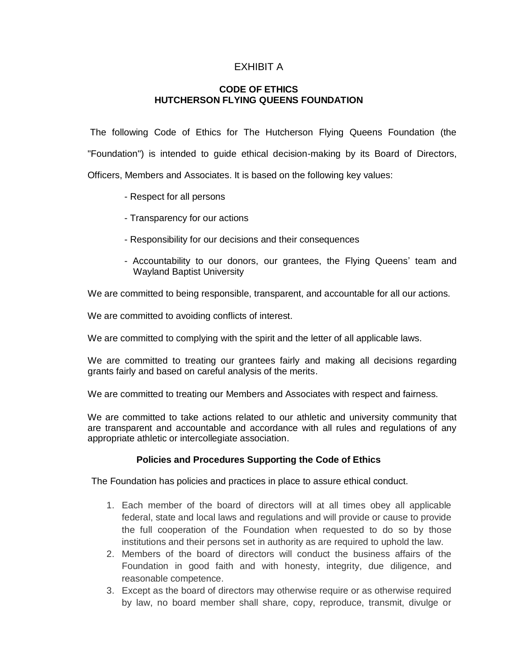## EXHIBIT A

## **CODE OF ETHICS HUTCHERSON FLYING QUEENS FOUNDATION**

The following Code of Ethics for The Hutcherson Flying Queens Foundation (the "Foundation") is intended to guide ethical decision-making by its Board of Directors, Officers, Members and Associates. It is based on the following key values:

- Respect for all persons
- Transparency for our actions
- Responsibility for our decisions and their consequences
- Accountability to our donors, our grantees, the Flying Queens' team and Wayland Baptist University

We are committed to being responsible, transparent, and accountable for all our actions.

We are committed to avoiding conflicts of interest.

We are committed to complying with the spirit and the letter of all applicable laws.

We are committed to treating our grantees fairly and making all decisions regarding grants fairly and based on careful analysis of the merits.

We are committed to treating our Members and Associates with respect and fairness.

We are committed to take actions related to our athletic and university community that are transparent and accountable and accordance with all rules and regulations of any appropriate athletic or intercollegiate association.

## **Policies and Procedures Supporting the Code of Ethics**

The Foundation has policies and practices in place to assure ethical conduct.

- 1. Each member of the board of directors will at all times obey all applicable federal, state and local laws and regulations and will provide or cause to provide the full cooperation of the Foundation when requested to do so by those institutions and their persons set in authority as are required to uphold the law.
- 2. Members of the board of directors will conduct the business affairs of the Foundation in good faith and with honesty, integrity, due diligence, and reasonable competence.
- 3. Except as the board of directors may otherwise require or as otherwise required by law, no board member shall share, copy, reproduce, transmit, divulge or